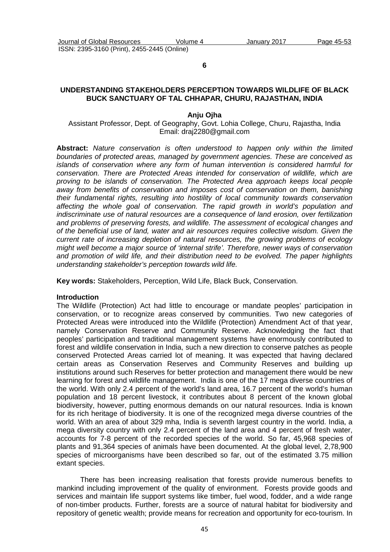**6** 

## **UNDERSTANDING STAKEHOLDERS PERCEPTION TOWARDS WILDLIFE OF BLACK BUCK SANCTUARY OF TAL CHHAPAR, CHURU, RAJASTHAN, INDIA**

#### **Anju Ojha**

Assistant Professor, Dept. of Geography, Govt. Lohia College, Churu, Rajastha, India Email: draj2280@gmail.com

**Abstract:** Nature conservation is often understood to happen only within the limited boundaries of protected areas, managed by government agencies. These are conceived as islands of conservation where any form of human intervention is considered harmful for conservation. There are Protected Areas intended for conservation of wildlife, which are proving to be islands of conservation. The Protected Area approach keeps local people away from benefits of conservation and imposes cost of conservation on them, banishing their fundamental rights, resulting into hostility of local community towards conservation affecting the whole goal of conservation. The rapid growth in world's population and indiscriminate use of natural resources are a consequence of land erosion, over fertilization and problems of preserving forests, and wildlife. The assessment of ecological changes and of the beneficial use of land, water and air resources requires collective wisdom. Given the current rate of increasing depletion of natural resources, the growing problems of ecology might well become a major source of 'internal strife'. Therefore, newer ways of conservation and promotion of wild life, and their distribution need to be evolved. The paper highlights understanding stakeholder's perception towards wild life.

**Key words:** Stakeholders, Perception, Wild Life, Black Buck, Conservation.

#### **Introduction**

The Wildlife (Protection) Act had little to encourage or mandate peoples' participation in conservation, or to recognize areas conserved by communities. Two new categories of Protected Areas were introduced into the Wildlife (Protection) Amendment Act of that year, namely Conservation Reserve and Community Reserve. Acknowledging the fact that peoples' participation and traditional management systems have enormously contributed to forest and wildlife conservation in India, such a new direction to conserve patches as people conserved Protected Areas carried lot of meaning. It was expected that having declared certain areas as Conservation Reserves and Community Reserves and building up institutions around such Reserves for better protection and management there would be new learning for forest and wildlife management. India is one of the 17 mega diverse countries of the world. With only 2.4 percent of the world's land area, 16.7 percent of the world's human population and 18 percent livestock, it contributes about 8 percent of the known global biodiversity, however, putting enormous demands on our natural resources. India is known for its rich heritage of biodiversity. It is one of the recognized mega diverse countries of the world. With an area of about 329 mha, India is seventh largest country in the world. India, a mega diversity country with only 2.4 percent of the land area and 4 percent of fresh water, accounts for 7-8 percent of the recorded species of the world. So far, 45,968 species of plants and 91,364 species of animals have been documented. At the global level, 2,78,900 species of microorganisms have been described so far, out of the estimated 3.75 million extant species.

There has been increasing realisation that forests provide numerous benefits to mankind including improvement of the quality of environment. Forests provide goods and services and maintain life support systems like timber, fuel wood, fodder, and a wide range of non-timber products. Further, forests are a source of natural habitat for biodiversity and repository of genetic wealth; provide means for recreation and opportunity for eco-tourism. In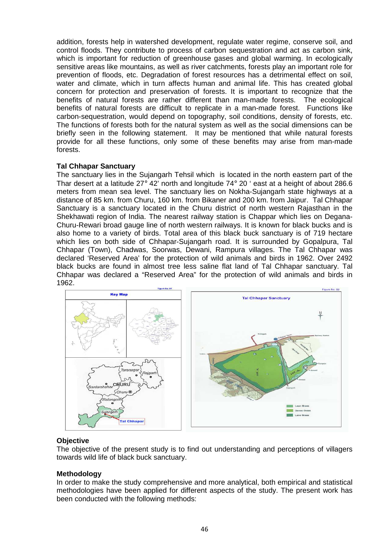addition, forests help in watershed development, regulate water regime, conserve soil, and control floods. They contribute to process of carbon sequestration and act as carbon sink, which is important for reduction of greenhouse gases and global warming. In ecologically sensitive areas like mountains, as well as river catchments, forests play an important role for prevention of floods, etc. Degradation of forest resources has a detrimental effect on soil, water and climate, which in turn affects human and animal life. This has created global concern for protection and preservation of forests. It is important to recognize that the benefits of natural forests are rather different than man-made forests. The ecological benefits of natural forests are difficult to replicate in a man-made forest. Functions like carbon-sequestration, would depend on topography, soil conditions, density of forests, etc. The functions of forests both for the natural system as well as the social dimensions can be briefly seen in the following statement. It may be mentioned that while natural forests provide for all these functions, only some of these benefits may arise from man-made forests.

## **Tal Chhapar Sanctuary**

The sanctuary lies in the Sujangarh Tehsil which is located in the north eastern part of the Thar desert at a latitude 27° 42' north and longitude 74° 20 ' east at a height of about 286.6 meters from mean sea level. The sanctuary lies on Nokha-Sujangarh state highways at a distance of 85 km. from Churu, 160 km. from Bikaner and 200 km. from Jaipur. Tal Chhapar Sanctuary is a sanctuary located in the Churu district of north western Rajasthan in the Shekhawati region of India. The nearest railway station is Chappar which lies on Degana-Churu-Rewari broad gauge line of north western railways. It is known for black bucks and is also home to a variety of birds. Total area of this black buck sanctuary is of 719 hectare which lies on both side of Chhapar-Sujangarh road. It is surrounded by Gopalpura, Tal Chhapar (Town), Chadwas, Soorwas, Dewani, Rampura villages. The Tal Chhapar was declared 'Reserved Area' for the protection of wild animals and birds in 1962. Over 2492 black bucks are found in almost tree less saline flat land of Tal Chhapar sanctuary. Tal Chhapar was declared a "Reserved Area" for the protection of wild animals and birds in 1962.



## **Objective**

The objective of the present study is to find out understanding and perceptions of villagers towards wild life of black buck sanctuary.

### **Methodology**

In order to make the study comprehensive and more analytical, both empirical and statistical methodologies have been applied for different aspects of the study. The present work has been conducted with the following methods: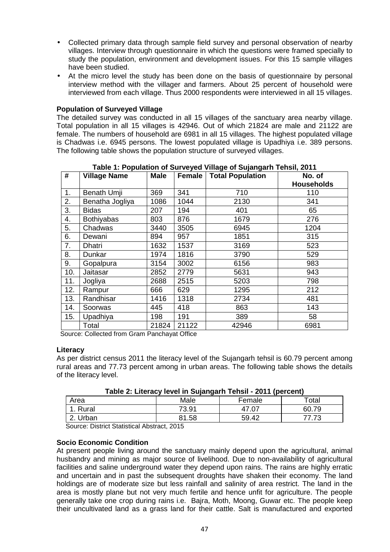- Collected primary data through sample field survey and personal observation of nearby villages. Interview through questionnaire in which the questions were framed specially to study the population, environment and development issues. For this 15 sample villages have been studied.
- At the micro level the study has been done on the basis of questionnaire by personal interview method with the villager and farmers. About 25 percent of household were interviewed from each village. Thus 2000 respondents were interviewed in all 15 villages.

## **Population of Surveyed Village**

The detailed survey was conducted in all 15 villages of the sanctuary area nearby village. Total population in all 15 villages is 42946. Out of which 21824 are male and 21122 are female. The numbers of household are 6981 in all 15 villages. The highest populated village is Chadwas i.e. 6945 persons. The lowest populated village is Upadhiya i.e. 389 persons. The following table shows the population structure of surveyed villages.

| #   | <b>Village Name</b> | <b>Male</b> | Female | <b>Total Population</b> | No. of            |
|-----|---------------------|-------------|--------|-------------------------|-------------------|
|     |                     |             |        |                         | <b>Households</b> |
| 1.  | Benath Umji         | 369         | 341    | 710                     | 110               |
| 2.  | Benatha Jogliya     | 1086        | 1044   | 2130                    | 341               |
| 3.  | <b>Bidas</b>        | 207         | 194    | 401                     | 65                |
| 4.  | <b>Bothiyabas</b>   | 803         | 876    | 1679                    | 276               |
| 5.  | Chadwas             | 3440        | 3505   | 6945                    | 1204              |
| 6.  | Dewani              | 894         | 957    | 1851                    | 315               |
| 7.  | Dhatri              | 1632        | 1537   | 3169                    | 523               |
| 8.  | Dunkar              | 1974        | 1816   | 3790                    | 529               |
| 9.  | Gopalpura           | 3154        | 3002   | 6156                    | 983               |
| 10. | Jaitasar            | 2852        | 2779   | 5631                    | 943               |
| 11. | Jogliya             | 2688        | 2515   | 5203                    | 798               |
| 12. | Rampur              | 666         | 629    | 1295                    | 212               |
| 13. | Randhisar           | 1416        | 1318   | 2734                    | 481               |
| 14. | Soorwas             | 445         | 418    | 863                     | 143               |
| 15. | Upadhiya            | 198         | 191    | 389                     | 58                |
|     | Total               | 21824       | 21122  | 42946                   | 6981              |

**Table 1: Population of Surveyed Village of Sujangarh Tehsil, 2011** 

Source: Collected from Gram Panchayat Office

### **Literacy**

As per district census 2011 the literacy level of the Sujangarh tehsil is 60.79 percent among rural areas and 77.73 percent among in urban areas. The following table shows the details of the literacy level.

| Table 2. Literacy lever in Oujangami Tensii - 2011 (percent) |       |        |       |  |  |  |  |
|--------------------------------------------------------------|-------|--------|-------|--|--|--|--|
| Area                                                         | Male  | Female | ™otal |  |  |  |  |
| 1. Rural                                                     | 73.91 |        | 60.79 |  |  |  |  |
| 2. Urban                                                     | 81.58 | 59.42  |       |  |  |  |  |
|                                                              |       |        |       |  |  |  |  |

| Table 2: Literacy level in Sujangarh Tehsil - 2011 (percent) |  |  |  |  |
|--------------------------------------------------------------|--|--|--|--|
|--------------------------------------------------------------|--|--|--|--|

Source: District Statistical Abstract, 2015

### **Socio Economic Condition**

At present people living around the sanctuary mainly depend upon the agricultural, animal husbandry and mining as major source of livelihood. Due to non-availability of agricultural facilities and saline underground water they depend upon rains. The rains are highly erratic and uncertain and in past the subsequent droughts have shaken their economy. The land holdings are of moderate size but less rainfall and salinity of area restrict. The land in the area is mostly plane but not very much fertile and hence unfit for agriculture. The people generally take one crop during rains i.e. Bajra, Moth, Moong, Guwar etc. The people keep their uncultivated land as a grass land for their cattle. Salt is manufactured and exported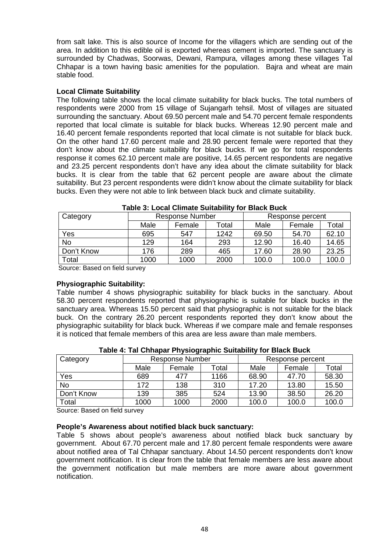from salt lake. This is also source of Income for the villagers which are sending out of the area. In addition to this edible oil is exported whereas cement is imported. The sanctuary is surrounded by Chadwas, Soorwas, Dewani, Rampura, villages among these villages Tal Chhapar is a town having basic amenities for the population. Bajra and wheat are main stable food.

## **Local Climate Suitability**

The following table shows the local climate suitability for black bucks. The total numbers of respondents were 2000 from 15 village of Sujangarh tehsil. Most of villages are situated surrounding the sanctuary. About 69.50 percent male and 54.70 percent female respondents reported that local climate is suitable for black bucks. Whereas 12.90 percent male and 16.40 percent female respondents reported that local climate is not suitable for black buck. On the other hand 17.60 percent male and 28.90 percent female were reported that they don't know about the climate suitability for black bucks. If we go for total respondents response it comes 62.10 percent male are positive, 14.65 percent respondents are negative and 23.25 percent respondents don't have any idea about the climate suitability for black bucks. It is clear from the table that 62 percent people are aware about the climate suitability. But 23 percent respondents were didn't know about the climate suitability for black bucks. Even they were not able to link between black buck and climate suitability.

| Category    | <b>Response Number</b> |        | Response percent |       |        |       |  |  |
|-------------|------------------------|--------|------------------|-------|--------|-------|--|--|
|             | Male                   | Female | Total            | Male  | Female | Total |  |  |
| Yes         | 695                    | 547    | 1242             | 69.50 | 54.70  | 62.10 |  |  |
| <b>No</b>   | 129                    | 164    | 293              | 12.90 | 16.40  | 14.65 |  |  |
| Don't Know  | 176                    | 289    | 465              | 17.60 | 28.90  | 23.25 |  |  |
| $\tau$ otal | 1000                   | 1000   | 2000             | 100.0 | 100.0  | 100.0 |  |  |

Source: Based on field survey

## **Physiographic Suitability:**

Table number 4 shows physiographic suitability for black bucks in the sanctuary. About 58.30 percent respondents reported that physiographic is suitable for black bucks in the sanctuary area. Whereas 15.50 percent said that physiographic is not suitable for the black buck. On the contrary 26.20 percent respondents reported they don't know about the physiographic suitability for black buck. Whereas if we compare male and female responses it is noticed that female members of this area are less aware than male members.

| Category   | <b>Response Number</b> |        | $\sim$ |       | Response percent |       |  |
|------------|------------------------|--------|--------|-------|------------------|-------|--|
|            | Male                   | Female | Total  | Male  | Female           | Total |  |
| Yes        | 689                    | 477    | 1166   | 68.90 | 47.70            | 58.30 |  |
| <b>No</b>  | 172                    | 138    | 310    | 17.20 | 13.80            | 15.50 |  |
| Don't Know | 139                    | 385    | 524    | 13.90 | 38.50            | 26.20 |  |
| Total      | 1000                   | 1000   | 2000   | 100.0 | 100.0            | 100.0 |  |

**Table 4: Tal Chhapar Physiographic Suitability for Black Buck** 

Source: Based on field survey

## **People's Awareness about notified black buck sanctuary:**

Table 5 shows about people's awareness about notified black buck sanctuary by government. About 67.70 percent male and 17.80 percent female respondents were aware about notified area of Tal Chhapar sanctuary. About 14.50 percent respondents don't know government notification. It is clear from the table that female members are less aware about the government notification but male members are more aware about government notification.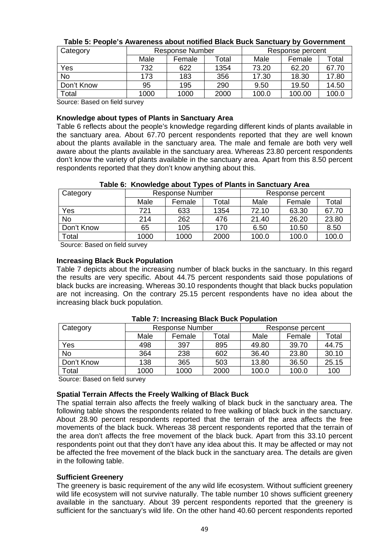| Category   |      | <b>Response Number</b> |       | Response percent |        |       |
|------------|------|------------------------|-------|------------------|--------|-------|
|            | Male | Female                 | Total | Male             | Female | Total |
| Yes        | 732  | 622                    | 1354  | 73.20            | 62.20  | 67.70 |
| <b>No</b>  | 173  | 183                    | 356   | 17.30            | 18.30  | 17.80 |
| Don't Know | 95   | 195                    | 290   | 9.50             | 19.50  | 14.50 |
| Total      | 1000 | 1000                   | 2000  | 100.0            | 100.00 | 100.0 |

## **Table 5: People's Awareness about notified Black Buck Sanctuary by Government**

Source: Based on field survey

### **Knowledge about types of Plants in Sanctuary Area**

Table 6 reflects about the people's knowledge regarding different kinds of plants available in the sanctuary area. About 67.70 percent respondents reported that they are well known about the plants available in the sanctuary area. The male and female are both very well aware about the plants available in the sanctuary area. Whereas 23.80 percent respondents don't know the variety of plants available in the sanctuary area. Apart from this 8.50 percent respondents reported that they don't know anything about this.

| Table 6: Knowledge about Types of Plants in Sanctuary Area |                  |
|------------------------------------------------------------|------------------|
| Doopopoo Number                                            | Desperance paras |

| Category   | <b>Response Number</b> |        |       |       | Response percent |       |  |
|------------|------------------------|--------|-------|-------|------------------|-------|--|
|            | Male                   | Female | Total | Male  | Female           | Total |  |
| Yes        | 721                    | 633    | 1354  | 72.10 | 63.30            | 67.70 |  |
| No         | 214                    | 262    | 476   | 21.40 | 26.20            | 23.80 |  |
| Don't Know | 65                     | 105    | 170   | 6.50  | 10.50            | 8.50  |  |
| Total      | 1000                   | 1000   | 2000  | 100.0 | 100.0            | 100.0 |  |

Source: Based on field survey

### **Increasing Black Buck Population**

Table 7 depicts about the increasing number of black bucks in the sanctuary. In this regard the results are very specific. About 44.75 percent respondents said those populations of black bucks are increasing. Whereas 30.10 respondents thought that black bucks population are not increasing. On the contrary 25.15 percent respondents have no idea about the increasing black buck population.

| Category   | <b>Response Number</b> |        |       | Response percent |        |       |
|------------|------------------------|--------|-------|------------------|--------|-------|
|            | Male                   | Female | Total | Male             | Female | Total |
| Yes        | 498                    | 397    | 895   | 49.80            | 39.70  | 44.75 |
| <b>No</b>  | 364                    | 238    | 602   | 36.40            | 23.80  | 30.10 |
| Don't Know | 138                    | 365    | 503   | 13.80            | 36.50  | 25.15 |
| Total      | 1000                   | 1000   | 2000  | 100.0            | 100.0  | 100   |

### **Table 7: Increasing Black Buck Population**

Source: Based on field survey

### **Spatial Terrain Affects the Freely Walking of Black Buck**

The spatial terrain also affects the freely walking of black buck in the sanctuary area. The following table shows the respondents related to free walking of black buck in the sanctuary. About 28.90 percent respondents reported that the terrain of the area affects the free movements of the black buck. Whereas 38 percent respondents reported that the terrain of the area don't affects the free movement of the black buck. Apart from this 33.10 percent respondents point out that they don't have any idea about this. It may be affected or may not be affected the free movement of the black buck in the sanctuary area. The details are given in the following table.

### **Sufficient Greenery**

The greenery is basic requirement of the any wild life ecosystem. Without sufficient greenery wild life ecosystem will not survive naturally. The table number 10 shows sufficient greenery available in the sanctuary. About 39 percent respondents reported that the greenery is sufficient for the sanctuary's wild life. On the other hand 40.60 percent respondents reported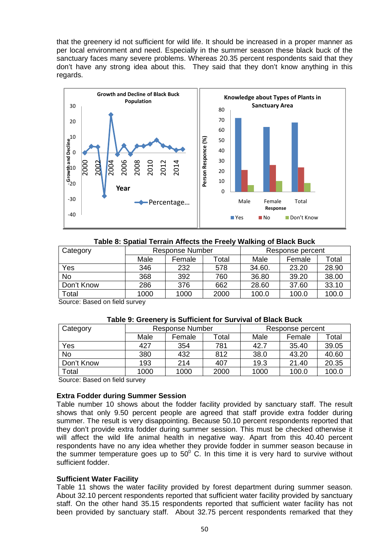that the greenery id not sufficient for wild life. It should be increased in a proper manner as per local environment and need. Especially in the summer season these black buck of the sanctuary faces many severe problems. Whereas 20.35 percent respondents said that they don't have any strong idea about this. They said that they don't know anything in this regards.



|  | Table 8: Spatial Terrain Affects the Freely Walking of Black Buck |
|--|-------------------------------------------------------------------|
|--|-------------------------------------------------------------------|

| Category   | <b>Response Number</b> |        | Response percent |        |        |       |
|------------|------------------------|--------|------------------|--------|--------|-------|
|            | Male                   | Female | Total            | Male   | Female | Total |
| Yes        | 346                    | 232    | 578              | 34.60. | 23.20  | 28.90 |
| <b>No</b>  | 368                    | 392    | 760              | 36.80  | 39.20  | 38.00 |
| Don't Know | 286                    | 376    | 662              | 28.60  | 37.60  | 33.10 |
| Total      | 1000                   | 1000   | 2000             | 100.0  | 100.0  | 100.0 |

Source: Based on field survey

### **Table 9: Greenery is Sufficient for Survival of Black Buck**

| Category   | <b>Response Number</b> |        |             | Response percent |        |       |
|------------|------------------------|--------|-------------|------------------|--------|-------|
|            | Male                   | Female | $\tau$ otal | Male             | Female | Total |
| Yes        | 427                    | 354    | 781         | 42.7             | 35.40  | 39.05 |
| <b>No</b>  | 380                    | 432    | 812         | 38.0             | 43.20  | 40.60 |
| Don't Know | 193                    | 214    | 407         | 19.3             | 21.40  | 20.35 |
| Total      | 1000                   | 1000   | 2000        | 1000             | 100.0  | 100.0 |

Source: Based on field survey

## **Extra Fodder during Summer Session**

Table number 10 shows about the fodder facility provided by sanctuary staff. The result shows that only 9.50 percent people are agreed that staff provide extra fodder during summer. The result is very disappointing. Because 50.10 percent respondents reported that they don't provide extra fodder during summer session. This must be checked otherwise it will affect the wild life animal health in negative way. Apart from this 40.40 percent respondents have no any idea whether they provide fodder in summer season because in the summer temperature goes up to 50 $^{\circ}$  C. In this time it is very hard to survive without sufficient fodder.

### **Sufficient Water Facility**

Table 11 shows the water facility provided by forest department during summer season. About 32.10 percent respondents reported that sufficient water facility provided by sanctuary staff. On the other hand 35.15 respondents reported that sufficient water facility has not been provided by sanctuary staff. About 32.75 percent respondents remarked that they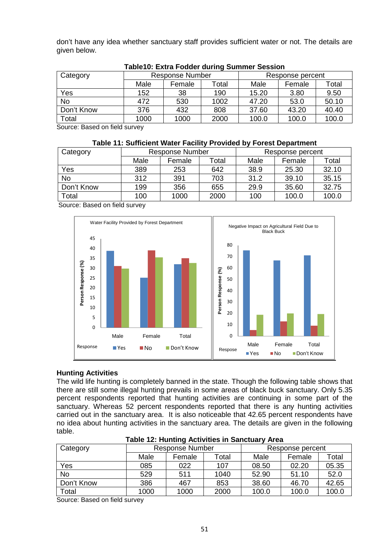don't have any idea whether sanctuary staff provides sufficient water or not. The details are given below.

| Category              | <b>Response Number</b> |        |       | Response percent |        |       |
|-----------------------|------------------------|--------|-------|------------------|--------|-------|
|                       | Male                   | Female | Total | Male             | Female | Total |
| Yes                   | 152                    | 38     | 190   | 15.20            | 3.80   | 9.50  |
| <b>No</b>             | 472                    | 530    | 1002  | 47.20            | 53.0   | 50.10 |
| Don't Know            | 376                    | 432    | 808   | 37.60            | 43.20  | 40.40 |
| Total                 | 1000                   | 1000   | 2000  | 100.0            | 100.0  | 100.0 |
| $\sim$<br>.<br>$\sim$ |                        |        |       |                  |        |       |

### **Table10: Extra Fodder during Summer Session**

Source: Based on field survey

### **Table 11: Sufficient Water Facility Provided by Forest Department**

| Category   | <b>Response Number</b> |        |       | Response percent |        |       |
|------------|------------------------|--------|-------|------------------|--------|-------|
|            | Male                   | Female | Total | Male             | Female | Total |
| Yes        | 389                    | 253    | 642   | 38.9             | 25.30  | 32.10 |
| <b>No</b>  | 312                    | 391    | 703   | 31.2             | 39.10  | 35.15 |
| Don't Know | 199                    | 356    | 655   | 29.9             | 35.60  | 32.75 |
| Total      | 100                    | 1000   | 2000  | 100              | 100.0  | 100.0 |

Source: Based on field survey



### **Hunting Activities**

The wild life hunting is completely banned in the state. Though the following table shows that there are still some illegal hunting prevails in some areas of black buck sanctuary. Only 5.35 percent respondents reported that hunting activities are continuing in some part of the sanctuary. Whereas 52 percent respondents reported that there is any hunting activities carried out in the sanctuary area. It is also noticeable that 42.65 percent respondents have no idea about hunting activities in the sanctuary area. The details are given in the following table.

| Category   | <b>Response Number</b> |        |       | Response percent |        |       |
|------------|------------------------|--------|-------|------------------|--------|-------|
|            | Male                   | Female | Total | Male             | Female | Total |
| Yes        | 085                    | 022    | 107   | 08.50            | 02.20  | 05.35 |
| <b>No</b>  | 529                    | 511    | 1040  | 52.90            | 51.10  | 52.0  |
| Don't Know | 386                    | 467    | 853   | 38.60            | 46.70  | 42.65 |
| Total      | 1000                   | 1000   | 2000  | 100.0            | 100.0  | 100.0 |

### **Table 12: Hunting Activities in Sanctuary Area**

Source: Based on field survey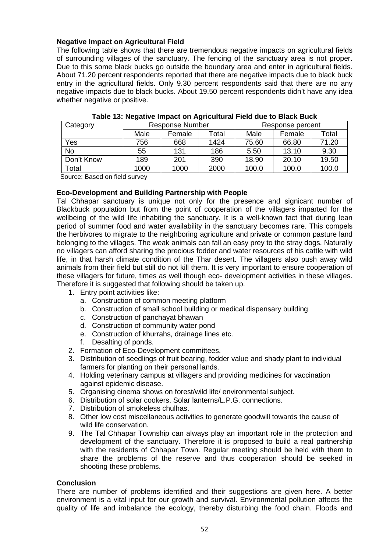## **Negative Impact on Agricultural Field**

The following table shows that there are tremendous negative impacts on agricultural fields of surrounding villages of the sanctuary. The fencing of the sanctuary area is not proper. Due to this some black bucks go outside the boundary area and enter in agricultural fields. About 71.20 percent respondents reported that there are negative impacts due to black buck entry in the agricultural fields. Only 9.30 percent respondents said that there are no any negative impacts due to black bucks. About 19.50 percent respondents didn't have any idea whether negative or positive.

| Category   | <b>Response Number</b> |        |       | Response percent |        |       |
|------------|------------------------|--------|-------|------------------|--------|-------|
|            | Male                   | Female | Total | Male             | Female | Total |
| Yes        | 756                    | 668    | 1424  | 75.60            | 66.80  | 71.20 |
| <b>No</b>  | 55                     | 131    | 186   | 5.50             | 13.10  | 9.30  |
| Don't Know | 189                    | 201    | 390   | 18.90            | 20.10  | 19.50 |
| Total      | 1000                   | 1000   | 2000  | 100.0            | 100.0  | 100.0 |

|  | Table 13: Negative Impact on Agricultural Field due to Black Buck |
|--|-------------------------------------------------------------------|
|--|-------------------------------------------------------------------|

Source: Based on field survey

## **Eco-Development and Building Partnership with People**

Tal Chhapar sanctuary is unique not only for the presence and signicant number of Blackbuck population but from the point of cooperation of the villagers imparted for the wellbeing of the wild life inhabiting the sanctuary. It is a well-known fact that during lean period of summer food and water availability in the sanctuary becomes rare. This compels the herbivores to migrate to the neighboring agriculture and private or common pasture land belonging to the villages. The weak animals can fall an easy prey to the stray dogs. Naturally no villagers can afford sharing the precious fodder and water resources of his cattle with wild life, in that harsh climate condition of the Thar desert. The villagers also push away wild animals from their field but still do not kill them. It is very important to ensure cooperation of these villagers for future, times as well though eco- development activities in these villages. Therefore it is suggested that following should be taken up.

- 1. Entry point activities like:
	- a. Construction of common meeting platform
	- b. Construction of small school building or medical dispensary building
	- c. Construction of panchayat bhawan
	- d. Construction of community water pond
	- e. Construction of khurrahs, drainage lines etc.
	- f. Desalting of ponds.
- 2. Formation of Eco-Development committees.
- 3. Distribution of seedlings of fruit bearing, fodder value and shady plant to individual farmers for planting on their personal lands.
- 4. Holding veterinary campus at villagers and providing medicines for vaccination against epidemic disease.
- 5. Organising cinema shows on forest/wild life/ environmental subject.
- 6. Distribution of solar cookers. Solar lanterns/L.P.G. connections.
- 7. Distribution of smokeless chulhas.
- 8. Other low cost miscellaneous activities to generate goodwill towards the cause of wild life conservation.
- 9. The Tal Chhapar Township can always play an important role in the protection and development of the sanctuary. Therefore it is proposed to build a real partnership with the residents of Chhapar Town. Regular meeting should be held with them to share the problems of the reserve and thus cooperation should be seeked in shooting these problems.

## **Conclusion**

There are number of problems identified and their suggestions are given here. A better environment is a vital input for our growth and survival. Environmental pollution affects the quality of life and imbalance the ecology, thereby disturbing the food chain. Floods and